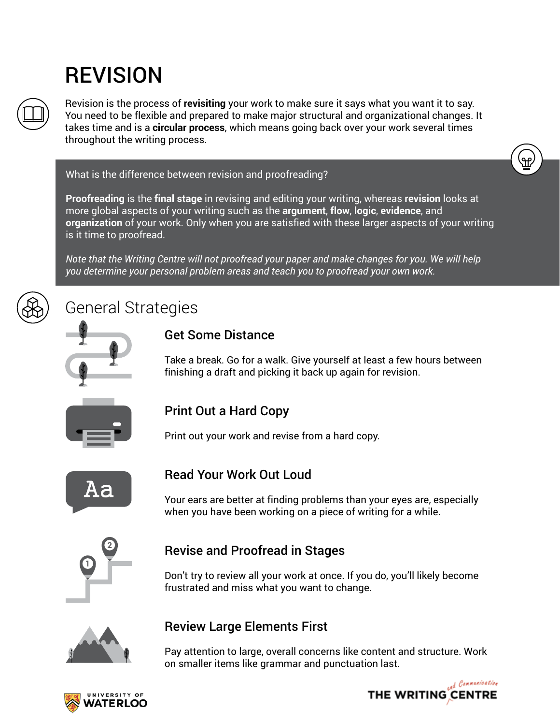# REVISION



Revision is the process of **revisiting** your work to make sure it says what you want it to say. You need to be flexible and prepared to make major structural and organizational changes. It takes time and is a **circular process**, which means going back over your work several times throughout the writing process.

#### What is the difference between revision and proofreading?

**Proofreading** is the **final stage** in revising and editing your writing, whereas **revision** looks at more global aspects of your writing such as the **argument**, **flow**, **logic**, **evidence**, and **organization** of your work. Only when you are satisfied with these larger aspects of your writing is it time to proofread.

*Note that the Writing Centre will not proofread your paper and make changes for you. We will help you determine your personal problem areas and teach you to proofread your own work.*

# General Strategies



#### Get Some Distance

Take a break. Go for a walk. Give yourself at least a few hours between finishing a draft and picking it back up again for revision.



#### Print Out a Hard Copy

Print out your work and revise from a hard copy.



#### Read Your Work Out Loud

Your ears are better at finding problems than your eyes are, especially when you have been working on a piece of writing for a while.



#### Revise and Proofread in Stages

Don't try to review all your work at once. If you do, you'll likely become frustrated and miss what you want to change.



#### Review Large Elements First

Pay attention to large, overall concerns like content and structure. Work on smaller items like grammar and punctuation last.



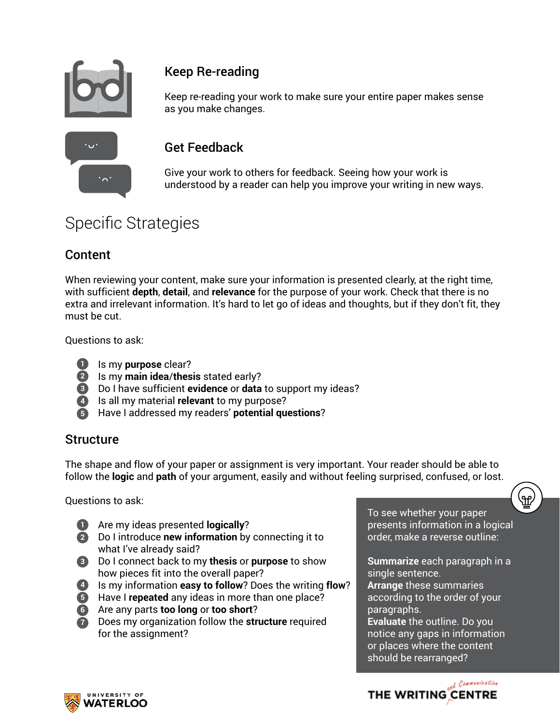

### Keep Re-reading

Keep re-reading your work to make sure your entire paper makes sense as you make changes.

#### Get Feedback

Give your work to others for feedback. Seeing how your work is understood by a reader can help you improve your writing in new ways.

## Specific Strategies

#### Content

When reviewing your content, make sure your information is presented clearly, at the right time, with sufficient **depth**, **detail**, and **relevance** for the purpose of your work. Check that there is no extra and irrelevant information. It's hard to let go of ideas and thoughts, but if they don't fit, they must be cut.

Questions to ask:

- **1** Is my **purpose** clear?
- **2** Is my main idea/thesis stated early?
- Do I have sufficient **evidence** or **data** to support my ideas? **3**
- **4** Is all my material **relevant** to my purpose?
- Have I addressed my readers' **potential questions**? **5**

#### Structure

The shape and flow of your paper or assignment is very important. Your reader should be able to follow the **logic** and **path** of your argument, easily and without feeling surprised, confused, or lost.

Questions to ask:

- **1** Are my ideas presented **logically**?
- Do I introduce **new information** by connecting it to **2** what I've already said?
- Do I connect back to my **thesis** or **purpose** to show **3** how pieces fit into the overall paper?
- **4** Is my information **easy to follow**? Does the writing **flow**?
- Have I **repeated** any ideas in more than one place? **5**
- Are any parts **too long** or **too short**? **6**
- **1** Does my organization follow the **structure** required for the assignment?

To see whether your paper presents information in a logical order, make a reverse outline:

**Summarize** each paragraph in a single sentence. **Arrange** these summaries according to the order of your paragraphs. **Evaluate** the outline. Do you notice any gaps in information or places where the content should be rearranged?